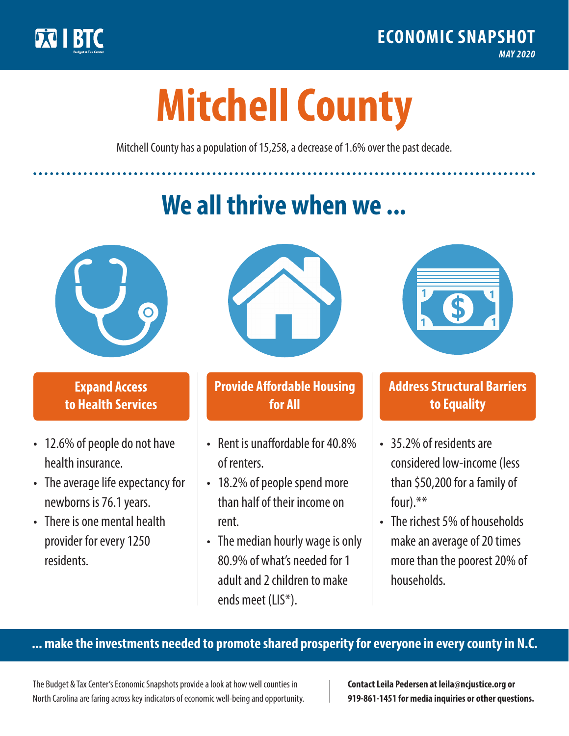

**1**

# **Mitchell County**

Mitchell County has a population of 15,258, a decrease of 1.6% over the past decade.

# **We all thrive when we ...**



**\$ <sup>1</sup>**

**\$ <sup>1</sup>**

## **Expand Access to Health Services**

- 12.6% of people do not have health insurance.
- The average life expectancy for newborns is 76.1 years.
- There is one mental health provider for every 1250 residents.



## **Provide Affordable Housing for All**

- Rent is unaffordable for 40.8% of renters.
- 18.2% of people spend more than half of their income on rent.
- The median hourly wage is only 80.9% of what's needed for 1 adult and 2 children to make ends meet (LIS\*).



## **Address Structural Barriers to Equality**

- 35.2% of residents are considered low-income (less than \$50,200 for a family of four).\*\*
- The richest 5% of households make an average of 20 times more than the poorest 20% of households.

#### **... make the investments needed to promote shared prosperity for everyone in every county in N.C.**

The Budget & Tax Center's Economic Snapshots provide a look at how well counties in North Carolina are faring across key indicators of economic well-being and opportunity.